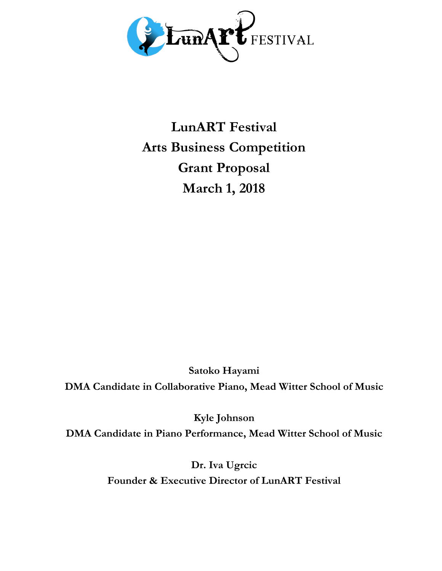

**LunART Festival Arts Business Competition Grant Proposal March 1, 2018**

**Satoko Hayami**

**DMA Candidate in Collaborative Piano, Mead Witter School of Music**

**Kyle Johnson DMA Candidate in Piano Performance, Mead Witter School of Music**

> **Dr. Iva Ugrcic Founder & Executive Director of LunART Festival**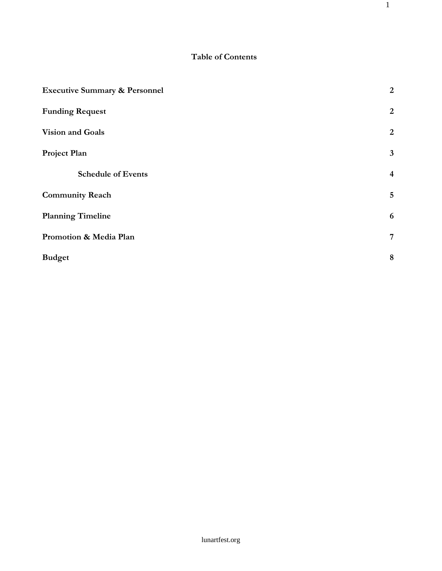# **Table of Contents**

1

| <b>Executive Summary &amp; Personnel</b> | $\overline{2}$          |
|------------------------------------------|-------------------------|
| <b>Funding Request</b>                   | $\overline{2}$          |
| Vision and Goals                         | $\overline{2}$          |
| Project Plan                             | $\mathbf{3}$            |
| <b>Schedule of Events</b>                | $\overline{\mathbf{4}}$ |
| <b>Community Reach</b>                   | $\overline{5}$          |
| <b>Planning Timeline</b>                 | 6                       |
| Promotion & Media Plan                   | 7                       |
| <b>Budget</b>                            | $\boldsymbol{8}$        |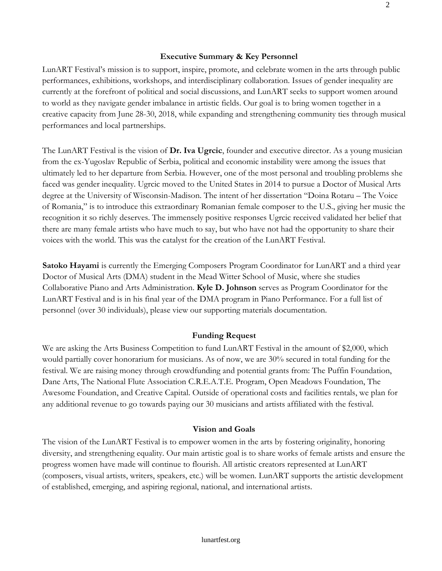#### **Executive Summary & Key Personnel**

LunART Festival's mission is to support, inspire, promote, and celebrate women in the arts through public performances, exhibitions, workshops, and interdisciplinary collaboration. Issues of gender inequality are currently at the forefront of political and social discussions, and LunART seeks to support women around to world as they navigate gender imbalance in artistic fields. Our goal is to bring women together in a creative capacity from June 28-30, 2018, while expanding and strengthening community ties through musical performances and local partnerships.

The LunART Festival is the vision of **Dr. Iva Ugrcic**, founder and executive director. As a young musician from the ex-Yugoslav Republic of Serbia, political and economic instability were among the issues that ultimately led to her departure from Serbia. However, one of the most personal and troubling problems she faced was gender inequality. Ugrcic moved to the United States in 2014 to pursue a Doctor of Musical Arts degree at the University of Wisconsin-Madison. The intent of her dissertation "Doina Rotaru – The Voice of Romania," is to introduce this extraordinary Romanian female composer to the U.S., giving her music the recognition it so richly deserves. The immensely positive responses Ugrcic received validated her belief that there are many female artists who have much to say, but who have not had the opportunity to share their voices with the world. This was the catalyst for the creation of the LunART Festival.

**Satoko Hayami** is currently the Emerging Composers Program Coordinator for LunART and a third year Doctor of Musical Arts (DMA) student in the Mead Witter School of Music, where she studies Collaborative Piano and Arts Administration. **Kyle D. Johnson** serves as Program Coordinator for the LunART Festival and is in his final year of the DMA program in Piano Performance. For a full list of personnel (over 30 individuals), please view our supporting materials documentation.

#### **Funding Request**

We are asking the Arts Business Competition to fund LunART Festival in the amount of \$2,000, which would partially cover honorarium for musicians. As of now, we are 30% secured in total funding for the festival. We are raising money through crowdfunding and potential grants from: The Puffin Foundation, Dane Arts, The National Flute Association C.R.E.A.T.E. Program, Open Meadows Foundation, The Awesome Foundation, and Creative Capital. Outside of operational costs and facilities rentals, we plan for any additional revenue to go towards paying our 30 musicians and artists affiliated with the festival.

#### **Vision and Goals**

The vision of the LunART Festival is to empower women in the arts by fostering originality, honoring diversity, and strengthening equality. Our main artistic goal is to share works of female artists and ensure the progress women have made will continue to flourish. All artistic creators represented at LunART (composers, visual artists, writers, speakers, etc.) will be women. LunART supports the artistic development of established, emerging, and aspiring regional, national, and international artists.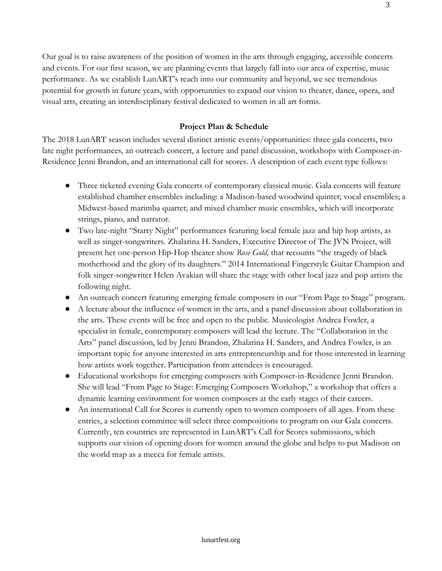Our goal is to raise awareness of the position of women in the arts through engaging, accessible concerts and events. For our first season, we are planning events that largely fall into our area of expertise, music performance. As we establish LunART's reach into our community and beyond, we see tremendous potential for growth in future years, with opportunities to expand our vision to theater, dance, opera, and visual arts, creating an interdisciplinary festival dedicated to women in all art forms.

## **Project Plan & Schedule**

The 2018 LunART season includes several distinct artistic events/opportunities: three gala concerts, two late night performances, an outreach concert, a lecture and panel discussion, workshops with Composer-in-Residence Jenni Brandon, and an international call for scores. A description of each event type follows:

- Three ticketed evening Gala concerts of contemporary classical music. Gala concerts will feature established chamber ensembles including: a Madison-based woodwind quintet; vocal ensembles; a Midwest-based marimba quartet; and mixed chamber music ensembles, which will incorporate strings, piano, and narrator.
- Two late-night "Starry Night" performances featuring local female jazz and hip hop artists, as well as singer-songwriters. Zhalarina H. Sanders, Executive Director of The JVN Project, will present her one-person Hip-Hop theater show *Rose Gold,* that recounts "the tragedy of black motherhood and the glory of its daughters." 2014 International Fingerstyle Guitar Champion and folk singer-songwriter Helen Avakian will share the stage with other local jazz and pop artists the following night.
- An outreach concert featuring emerging female composers in our "From Page to Stage" program.
- A lecture about the influence of women in the arts, and a panel discussion about collaboration in the arts. These events will be free and open to the public. Musicologist Andrea Fowler, a specialist in female, contemporary composers will lead the lecture. The "Collaboration in the Arts" panel discussion, led by Jenni Brandon, Zhalarina H. Sanders, and Andrea Fowler, is an important topic for anyone interested in arts entrepreneurship and for those interested in learning how artists work together. Participation from attendees is encouraged.
- Educational workshops for emerging composers with Composer-in-Residence Jenni Brandon. She will lead "From Page to Stage: Emerging Composers Workshop," a workshop that offers a dynamic learning environment for women composers at the early stages of their careers.
- An international Call for Scores is currently open to women composers of all ages. From these entries, a selection committee will select three compositions to program on our Gala concerts. Currently, ten countries are represented in LunART's Call for Scores submissions, which supports our vision of opening doors for women around the globe and helps to put Madison on the world map as a mecca for female artists.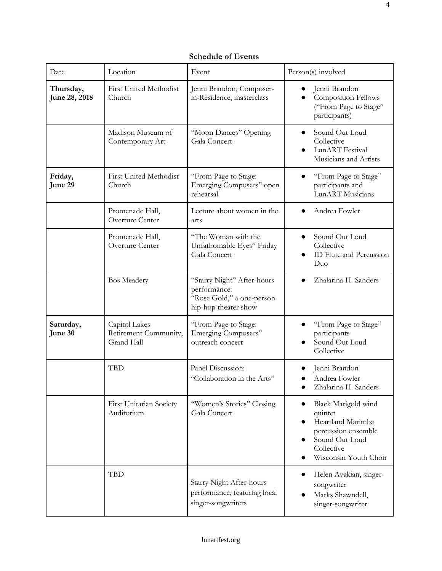**Schedule of Events**

| Date                       | Location                                             | Event                                                                                           | Person(s) involved                                                                                                                  |
|----------------------------|------------------------------------------------------|-------------------------------------------------------------------------------------------------|-------------------------------------------------------------------------------------------------------------------------------------|
| Thursday,<br>June 28, 2018 | <b>First United Methodist</b><br>Church              | Jenni Brandon, Composer-<br>in-Residence, masterclass                                           | Jenni Brandon<br><b>Composition Fellows</b><br>("From Page to Stage"<br>participants)                                               |
|                            | Madison Museum of<br>Contemporary Art                | "Moon Dances" Opening<br>Gala Concert                                                           | Sound Out Loud<br>Collective<br>LunART Festival<br>Musicians and Artists                                                            |
| Friday,<br>June 29         | <b>First United Methodist</b><br>Church              | "From Page to Stage:<br>Emerging Composers" open<br>rehearsal                                   | "From Page to Stage"<br>participants and<br>LunART Musicians                                                                        |
|                            | Promenade Hall,<br>Overture Center                   | Lecture about women in the<br>arts                                                              | Andrea Fowler                                                                                                                       |
|                            | Promenade Hall,<br>Overture Center                   | "The Woman with the<br>Unfathomable Eyes" Friday<br>Gala Concert                                | Sound Out Loud<br>Collective<br>ID Flute and Percussion<br>Duo                                                                      |
|                            | <b>Bos Meadery</b>                                   | "Starry Night" After-hours<br>performance:<br>"Rose Gold," a one-person<br>hip-hop theater show | Zhalarina H. Sanders                                                                                                                |
| Saturday,<br>June 30       | Capitol Lakes<br>Retirement Community,<br>Grand Hall | "From Page to Stage:<br>Emerging Composers"<br>outreach concert                                 | "From Page to Stage"<br>participants<br>Sound Out Loud<br>Collective                                                                |
|                            | <b>TBD</b>                                           | Panel Discussion:<br>"Collaboration in the Arts"                                                | Jenni Brandon<br>Andrea Fowler<br>Zhalarina H. Sanders                                                                              |
|                            | First Unitarian Society<br>Auditorium                | "Women's Stories" Closing<br>Gala Concert                                                       | Black Marigold wind<br>quintet<br>Heartland Marimba<br>percussion ensemble<br>Sound Out Loud<br>Collective<br>Wisconsin Youth Choir |
|                            | <b>TBD</b>                                           | Starry Night After-hours<br>performance, featuring local<br>singer-songwriters                  | Helen Avakian, singer-<br>songwriter<br>Marks Shawndell,<br>singer-songwriter                                                       |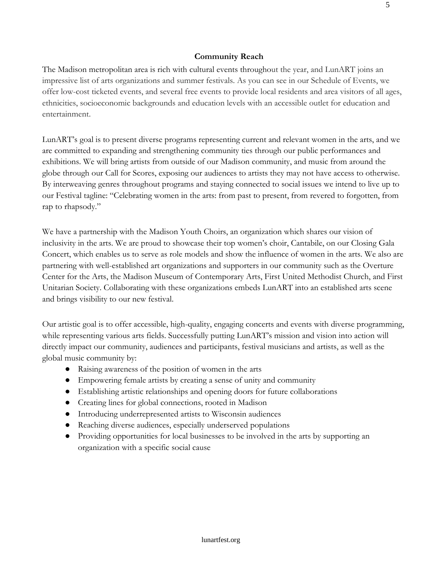## **Community Reach**

The Madison metropolitan area is rich with cultural events throughout the year, and LunART joins an impressive list of arts organizations and summer festivals. As you can see in our Schedule of Events, we offer low-cost ticketed events, and several free events to provide local residents and area visitors of all ages, ethnicities, socioeconomic backgrounds and education levels with an accessible outlet for education and entertainment.

LunART's goal is to present diverse programs representing current and relevant women in the arts, and we are committed to expanding and strengthening community ties through our public performances and exhibitions. We will bring artists from outside of our Madison community, and music from around the globe through our Call for Scores, exposing our audiences to artists they may not have access to otherwise. By interweaving genres throughout programs and staying connected to social issues we intend to live up to our Festival tagline: "Celebrating women in the arts: from past to present, from revered to forgotten, from rap to rhapsody."

We have a partnership with the Madison Youth Choirs, an organization which shares our vision of inclusivity in the arts. We are proud to showcase their top women's choir, Cantabile, on our Closing Gala Concert, which enables us to serve as role models and show the influence of women in the arts. We also are partnering with well-established art organizations and supporters in our community such as the Overture Center for the Arts, the Madison Museum of Contemporary Arts, First United Methodist Church, and First Unitarian Society. Collaborating with these organizations embeds LunART into an established arts scene and brings visibility to our new festival.

Our artistic goal is to offer accessible, high-quality, engaging concerts and events with diverse programming, while representing various arts fields. Successfully putting LunART's mission and vision into action will directly impact our community, audiences and participants, festival musicians and artists, as well as the global music community by:

- Raising awareness of the position of women in the arts
- Empowering female artists by creating a sense of unity and community
- Establishing artistic relationships and opening doors for future collaborations
- Creating lines for global connections, rooted in Madison
- Introducing underrepresented artists to Wisconsin audiences
- Reaching diverse audiences, especially underserved populations
- Providing opportunities for local businesses to be involved in the arts by supporting an organization with a specific social cause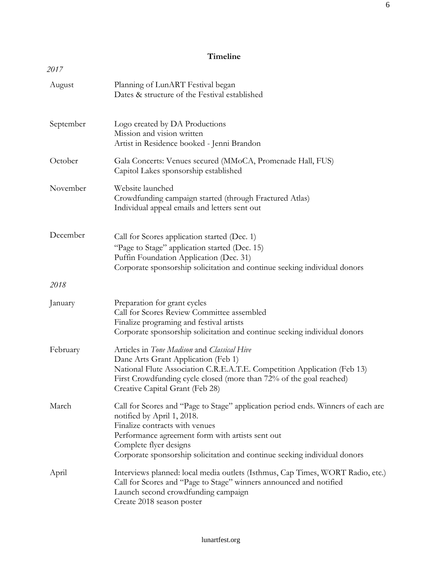## **Timeline**

| 2017      |                                                                                                                                                                                                                                                                                                             |
|-----------|-------------------------------------------------------------------------------------------------------------------------------------------------------------------------------------------------------------------------------------------------------------------------------------------------------------|
| August    | Planning of LunART Festival began<br>Dates & structure of the Festival established                                                                                                                                                                                                                          |
| September | Logo created by DA Productions<br>Mission and vision written<br>Artist in Residence booked - Jenni Brandon                                                                                                                                                                                                  |
| October   | Gala Concerts: Venues secured (MMoCA, Promenade Hall, FUS)<br>Capitol Lakes sponsorship established                                                                                                                                                                                                         |
| November  | Website launched<br>Crowdfunding campaign started (through Fractured Atlas)<br>Individual appeal emails and letters sent out                                                                                                                                                                                |
| December  | Call for Scores application started (Dec. 1)<br>"Page to Stage" application started (Dec. 15)<br>Puffin Foundation Application (Dec. 31)<br>Corporate sponsorship solicitation and continue seeking individual donors                                                                                       |
| 2018      |                                                                                                                                                                                                                                                                                                             |
| January   | Preparation for grant cycles<br>Call for Scores Review Committee assembled<br>Finalize programing and festival artists<br>Corporate sponsorship solicitation and continue seeking individual donors                                                                                                         |
| February  | Articles in Tone Madison and Classical Hive<br>Dane Arts Grant Application (Feb 1)<br>National Flute Association C.R.E.A.T.E. Competition Application (Feb 13)<br>First Crowdfunding cycle closed (more than 72% of the goal reached)<br>Creative Capital Grant (Feb 28)                                    |
| March     | Call for Scores and "Page to Stage" application period ends. Winners of each are<br>notified by April 1, 2018.<br>Finalize contracts with venues<br>Performance agreement form with artists sent out<br>Complete flyer designs<br>Corporate sponsorship solicitation and continue seeking individual donors |
| April     | Interviews planned: local media outlets (Isthmus, Cap Times, WORT Radio, etc.)<br>Call for Scores and "Page to Stage" winners announced and notified<br>Launch second crowdfunding campaign<br>Create 2018 season poster                                                                                    |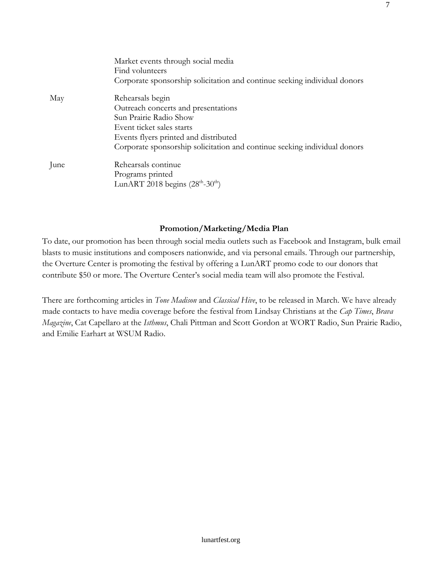|      | Market events through social media<br>Find volunteers<br>Corporate sponsorship solicitation and continue seeking individual donors |
|------|------------------------------------------------------------------------------------------------------------------------------------|
| May  | Rehearsals begin                                                                                                                   |
|      | Outreach concerts and presentations                                                                                                |
|      | Sun Prairie Radio Show                                                                                                             |
|      | Event ticket sales starts                                                                                                          |
|      | Events flyers printed and distributed                                                                                              |
|      | Corporate sponsorship solicitation and continue seeking individual donors                                                          |
| June | Rehearsals continue                                                                                                                |
|      | Programs printed                                                                                                                   |
|      | LunART 2018 begins $(28th-30th)$                                                                                                   |

7

## **Promotion/Marketing/Media Plan**

To date, our promotion has been through social media outlets such as Facebook and Instagram, bulk email blasts to music institutions and composers nationwide, and via personal emails. Through our partnership, the Overture Center is promoting the festival by offering a LunART promo code to our donors that contribute \$50 or more. The Overture Center's social media team will also promote the Festival.

There are forthcoming articles in *Tone Madison* and *Classical Hive*, to be released in March. We have already made contacts to have media coverage before the festival from Lindsay Christians at the *Cap Times*, *Brava Magazine*, Cat Capellaro at the *Isthmus*, Chali Pittman and Scott Gordon at WORT Radio, Sun Prairie Radio, and Emilie Earhart at WSUM Radio.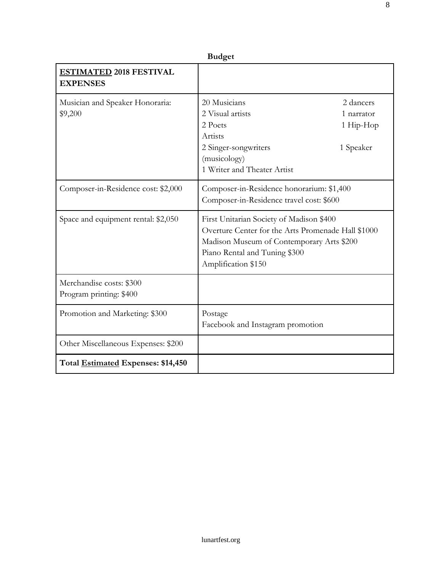| <b>Budget</b>                                       |                                                                                                                                                                                                     |                                                   |  |
|-----------------------------------------------------|-----------------------------------------------------------------------------------------------------------------------------------------------------------------------------------------------------|---------------------------------------------------|--|
| <b>ESTIMATED 2018 FESTIVAL</b><br><b>EXPENSES</b>   |                                                                                                                                                                                                     |                                                   |  |
| Musician and Speaker Honoraria:<br>\$9,200          | 20 Musicians<br>2 Visual artists<br>2 Poets<br>Artists<br>2 Singer-songwriters<br>(musicology)<br>1 Writer and Theater Artist                                                                       | 2 dancers<br>1 narrator<br>1 Hip-Hop<br>1 Speaker |  |
| Composer-in-Residence cost: \$2,000                 | Composer-in-Residence honorarium: \$1,400<br>Composer-in-Residence travel cost: \$600                                                                                                               |                                                   |  |
| Space and equipment rental: \$2,050                 | First Unitarian Society of Madison \$400<br>Overture Center for the Arts Promenade Hall \$1000<br>Madison Museum of Contemporary Arts \$200<br>Piano Rental and Tuning \$300<br>Amplification \$150 |                                                   |  |
| Merchandise costs: \$300<br>Program printing: \$400 |                                                                                                                                                                                                     |                                                   |  |
| Promotion and Marketing: \$300                      | Postage<br>Facebook and Instagram promotion                                                                                                                                                         |                                                   |  |
| Other Miscellaneous Expenses: \$200                 |                                                                                                                                                                                                     |                                                   |  |
| Total Estimated Expenses: \$14,450                  |                                                                                                                                                                                                     |                                                   |  |